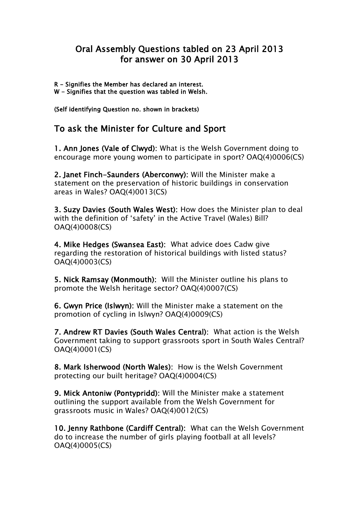## Oral Assembly Questions tabled on 23 April 2013 for answer on 30 April 2013

R - Signifies the Member has declared an interest. W - Signifies that the question was tabled in Welsh.

(Self identifying Question no. shown in brackets)

## To ask the Minister for Culture and Sport

1. Ann Jones (Vale of Clwyd): What is the Welsh Government doing to encourage more young women to participate in sport? OAQ(4)0006(CS)

2. Janet Finch-Saunders (Aberconwy): Will the Minister make a statement on the preservation of historic buildings in conservation areas in Wales? OAQ(4)0013(CS)

3. Suzy Davies (South Wales West): How does the Minister plan to deal with the definition of 'safety' in the Active Travel (Wales) Bill? OAQ(4)0008(CS)

4. Mike Hedges (Swansea East): What advice does Cadw give regarding the restoration of historical buildings with listed status? OAQ(4)0003(CS)

5. Nick Ramsay (Monmouth): Will the Minister outline his plans to promote the Welsh heritage sector? OAQ(4)0007(CS)

6. Gwyn Price (Islwyn): Will the Minister make a statement on the promotion of cycling in Islwyn? OAQ(4)0009(CS)

7. Andrew RT Davies (South Wales Central): What action is the Welsh Government taking to support grassroots sport in South Wales Central? OAQ(4)0001(CS)

8. Mark Isherwood (North Wales): How is the Welsh Government protecting our built heritage? OAQ(4)0004(CS)

9. Mick Antoniw (Pontypridd): Will the Minister make a statement outlining the support available from the Welsh Government for grassroots music in Wales? OAQ(4)0012(CS)

10. Jenny Rathbone (Cardiff Central): What can the Welsh Government do to increase the number of girls playing football at all levels? OAQ(4)0005(CS)